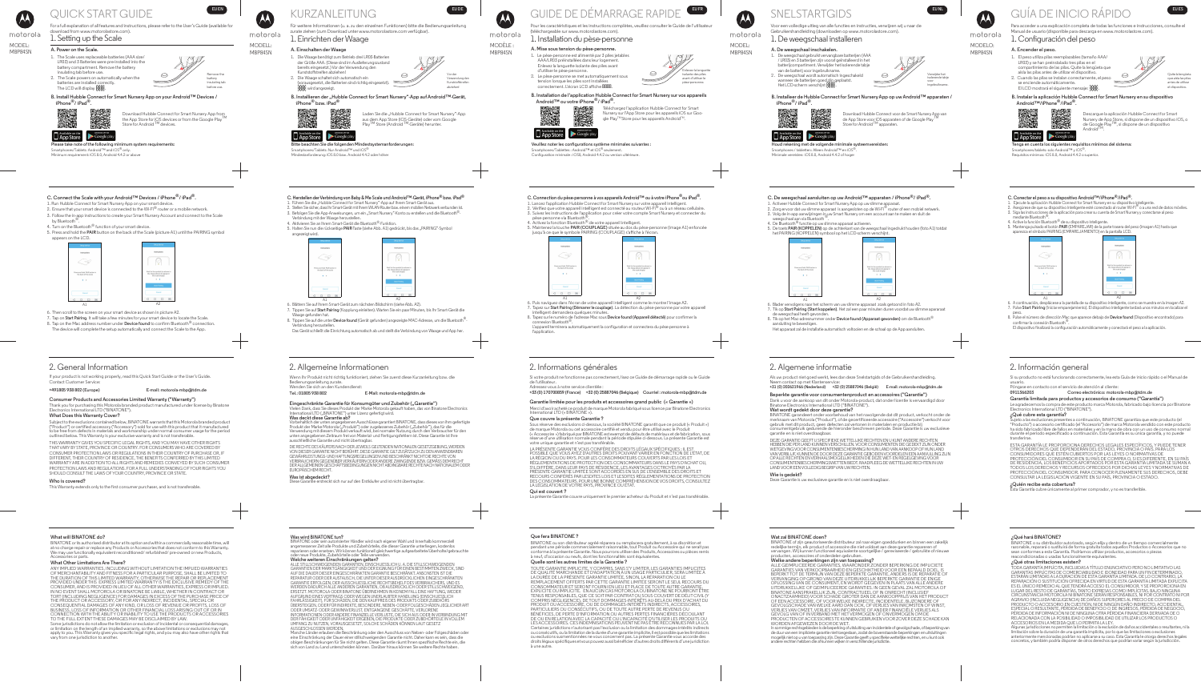# motorola

# MODEL:<br>MBP84SN

For a full explanation of all features and instructions, please refer to the User's Guide (available for



download from www.motorolastore.com).

- 1. Setting up the Scale A. Power on the Scale.
	- 1. The Scale uses replaceable batteries (AAA size/ LR03) and 3 Batteries were pre-installed into the battery compartment. Remove the battery insulating tab before use. 2. The Scale powers on automatically when the batteries are installed correctly.



**Please take note of the following minimum system requirements:**

Smartphones/Tablets: Android™ and iOS® only. Minimum requirement: iOS 8.0, Android 4.4.2 or above

Google play

The LCD will display  $\frac{1}{600}$  .

Download Hubble Connect for Smart Nursery App from the App Store for iOS devices or from the Google Play Store for Android  $^{\textsf{TM}}$  devices.



MODELL:<br>MBP84SN

## KURZANLEITUNG **EUDE**

**B. Install Hubble Connect for Smart Nursery App on your Android™ Devices / iPhone®/ iPad®.**

**EURNAL COULDE** 

#### 2. General Information

If your product is not working properly, read this Quick Start Guide or the User's Guide.

### Contact Customer Service:

#### **+491805 938 802 (Europe) E-mail: motorola-mbp@tdm.de**

**Consumer Products and Accessories Limited Warranty ("Warranty")**

Thank you for purchasing this Motorola branded product manufactured under license by Binatone Electronics International LTD ("BINATONE").

#### **What Does this Warranty Cover?**

- 2. Ensure that your smart device is connected to the Wi-Fi® router or a mobile network. 3. Follow the in-app instructions to create your Smart Nursery Account and connect to the Scale
- by Bluetooth<sup>®</sup>.
- 4. Turn on the Bluetooth<sup>®</sup> function of your smart device.
- 5. Press and hold the **PAIR** button on the back of the Scale (picture A1) until the PAIRING symbol appears on the LCD.

Subject to the exclusions contained below, BINATONE warrants that this Motorola branded product ("Product") or certified accessory ("Accessory") sold for use with this product that it manufactured to be free from defects in materials and workmanship under normal consumer usage for the period outlined below. This Warranty is your exclusive warranty and is not transferable.

THIS WARRANTY GIVES YOU SPECIFIC LEGAL RIGHTS, AND YOU MAY HAVE OTHER RIGHTS THAT VARY BY STATE, PROVINCE OR COUNTRY. FOR CONSUMERS WHO ARE COVERED BY CONSUMER PROTECTION LAWS OR REGULATIONS IN THEIR COUNTRY OF PURCHASE OR, IF DIFFERENT, THEIR COUNTRY OF RESIDENCE, THE BENEFITS CONFERRED BY THIS LIMITED WARRANTY ARE IN ADDITION TO ALL RIGHTS AND REMEDIES CONVEYED BY SUCH CONSUMER PROTECTION LAWS AND REGULATIONS. FOR A FULL UNDERSTANDING OF YOUR RIGHTS YOU SHOULD CONSULT THE LAWS OF YOUR COUNTRY, PROVINCE OR STATE.

#### **Who is covered?**

This Warranty extends only to the first consumer purchaser, and is not transferable.

#### **C. Connect the Scale with your Android™ Devices / iPhone®/ iPad®.**

1. Run Hubble Connect for Smart Nursery App on your smart device.

Google play **App Store Bitte beachten Sie die folgenden Mindestsystemanforderungen:** Smartphones/Tablets: Nur Android™ und iOS®

**B. Installieren der "Hubble Connect for Smart Nursery"-App auf Android™-Gerät, iPhone® bzw. iPad®**



**RRRR** wird angezeigt.

Laden Sie die "Hubble Connect for Smart Nursery"-App aus dem App Store (iOS-Geräte) oder vom Google<br>Play<sup>TM</sup> Store (Android <sup>TM</sup>-Geräte) herunter.

6. Then scroll to the screen on your smart device as shown in picture A2.

- 7. Tap on **Start Pairing**. It will take a few minutes for your smart device to locate the Scale. 8. Tap on the Mac address number under **Device found** to confirm Bluetooth<sup>®</sup> connection.
- The device will complete the setup automatically and connect the Scale to the App.



#### **What will BINATONE do?**

BINATONE or its authorised distributor at its option and within a commercially reasonable time, will at no charge repair or replace any Products or Accessories that does not conform to this Warranty. We may use functionally equivalent reconditioned/ refurbished/ pre-owned or new Products, Accessories or parts.

#### **What Other Limitations Are There?**

ANY IMPLIED WARRANTIES, INCLUDING WITHOUT LIMITATION THE IMPLIED WARRANTIES OF MERCHANTABILITY AND FITNESS FOR A PARTICULAR PURPOSE, SHALL BE LIMITED TO THE DURATION OF THIS LIMITED WARRANTY, OTHERWISE THE REPAIR OR REPLACEMENT PROVIDED UNDER THIS EXPRESS LIMITED WARRANTY IS THE EXCLUSIVE REMEDY OF THE CONSUMER, AND IS PROVIDED IN LIEU OF ALL OTHER WARRANTIES, EXPRESS OR IMPLIED. IN NO EVENT SHALL MOTOROLA OR BINATONE BE LIABLE, WHETHER IN CONTRACT OR<br>TORT (INCLUDING NEGLIGENCE) FOR DAMAGES IN EXCESS OF THE PURCHASE PRICE OF THE PRODUCT OR ACCESSORY, OR FOR ANY INDIRECT, INCIDENTAL, SPECIAL OR CONSEQUENTIAL DAMAGES OF ANY KIND, OR LOSS OF REVENUE OR PROFITS, LOSS OF BUSINESS, LOSS OF INFORMATION OR OTHER FINANCIAL LOSS ARISING OUT OF OR IN CONNECTION WITH THE ABILITY OR INABILITY TO USE THE PRODUCTS OR ACCESSORIES TO THE FULL EXTENT THESE DAMAGES MAY BE DISCLAIMED BY LAW.

- 5. Halten Sie nun die rückseitige PAIR-Taste (siehe Abb. A1) gedrückt, bis das "PAIRING"-Symbol  $\begin{picture}(120,15) \put(0,0){\line(1,0){150}} \put(15,0){\line(1,0){150}} \put(15,0){\line(1,0){150}} \put(15,0){\line(1,0){150}} \put(15,0){\line(1,0){150}} \put(15,0){\line(1,0){150}} \put(15,0){\line(1,0){150}} \put(15,0){\line(1,0){150}} \put(15,0){\line(1,0){150}} \put(15,0){\line(1,0){150}} \put(15,0){\line(1,0){150}}$ ress and hold PAIR button<br>the back of the scale ait for the symbol (as show<br>he image above) to appea<br>the scale display  $\bullet$  .  $\bullet$
- 6. Blättern Sie auf Ihrem Smart-Gerät zum nächsten Bildschirm (siehe Abb. A2). A<sub>1</sub> A<sub>2</sub>
- Waage gefunden hat. 8. Tippen Sie auf die unter **Device found** (Gerät gefunden) angezeigte MAC-Adresse, um die Bluetooth®-
- Verbindung herzustelle Das Gerät schließt die Einrichtung automatisch ab und stellt die Verbindung von Waage und App her.

Some jurisdictions do not allow the limitation or exclusion of incidental or consequential damages, or limitation on the length of an implied warranty, so the above limitations or exclusions may not apply to you. This Warranty gives you specific legal rights, and you may also have other rights that vary from one jurisdiction to another.

Für weitere Informationen (u. a. zu den einzelnen Funktionen) bitte die Bedienungsanleitung zurate ziehen (zum Download unter www.motorolastore.com verfügbar). 1. Einrichten der Waage

#### MBP84SN **A. Einschalten der Waage**

1. Die Waage benötigt zum Betrieb drei LR03-Batterien der Größe AAA. (Diese sind im Auslieferungszustand bereits eingesetzt.) Vor der Verwendung den Kunststoffstreifen abziehen! 2. Die Waage schaltet sich automatisch ein

(vorausgesetzt, die Batterien sind richtig eingesetzt).



### Mindestanforderung: iOS 8.0 bzw. Android 4.4.2 oder höher

Nursery sur l'App Store pour les appareils iOS sur Google Play™ Store pour les appareils Android™.

#### 2. Allgemeine Informationen

Wenn Ihr Produkt nicht richtig funktioniert, ziehen Sie zuerst diese Kurzanleitung bzw. die Bedienungsanleitung zurate.

**Was deckt diese Garantie ab?** Vorbehaltlich der unten angegebenen Ausschlüsse garantiert BINATONE, dass dieses von ihm gefertigte<br>Produkt der Marke Motorola ("Produkt") oder zugelassenes Zubehör ("Zubehör"), das für die<br>Verwendung mit diesem Produkt ve unten angegebenen Zeitraum frei von Material- und Fertigungsfehlern ist. Diese Garantie ist Ihre ausschließliche Garantie und nicht übertragbar.

- **C. Connection du pèse-personne à vos appareils Android™ ou à votre iPhone®ou iPad®.**
- 1. Lancez l'application Hubble Connect for Smart Nursery sur votre appareil intelligent.<br>2. Vérifiez que votre appareil intelligent est connecté au routeur Wi-Fi® ou à un réseau cellulaire. 3. Suivez les instructions de l'application pour créer votre compte Smart Nursery et connecter du pèse-personne via Bluetooth®.
- 4. Activez la fonction Bluetooth<sup>®</sup> de votre appareil intelligent.
- 5. Maintenez la touche **PAIR (COUPLAGE)** située au dos du pèse-personne (image A1) enfoncée
- jusqu'à ce que le symbole PAIRING (COUPLAGE) s'affiche à l'écran.  $\begin{picture}(120,15) \put(0,0){\line(1,0){150}} \put(15,0){\line(1,0){150}} \put(15,0){\line(1,0){150}} \put(15,0){\line(1,0){150}} \put(15,0){\line(1,0){150}} \put(15,0){\line(1,0){150}} \put(15,0){\line(1,0){150}} \put(15,0){\line(1,0){150}} \put(15,0){\line(1,0){150}} \put(15,0){\line(1,0){150}} \put(15,0){\line(1,0){150}}$ ress and hold PAIR button in<br>the back of the scale ait for the symbol (as show<br>the image above) to appear<br>the scale display



#### Wenden Sie sich an den Kundendienst: **Tel.: 01805 938 802 E-Mail: motorola-mbp@tdm.de**

Eingeschränkte Garantie für Konsumgüter und Zubehör ("Garantie") Vielen Dank, dass Sie dieses Produkt der Marke Motorola gekauft haben, das von Binatone Electronics International LTD ("BINATONE") unter Lizenz gefertigt wird.

DIE RECHTE DES KÄUFERS NACH DER JEWEILS GELTENDEN NATIONALEN GESETZGEBUNG, WERDEN VON DIESER GARANTIE NICHT BERÜHRT. DIESE GARANTIE GILT ZUSÄTZLICH ZU DEN ANWENDBAREN GEWAHRLEISTUNGS- UND HAFTUNGSREGELUNGEN UND BESCHRANKT NICHT DIE RECHTE VON<br>VERBRAUCHERN GEGENÜBER VERKÄUFERN ODER ANDERE ZWINGENDE BZW. GEMÄSS DEM RECHT<br>DER ALLGEMEINEN GESCHÄFTSBEDINGUNGEN NICHT ABDINGBARE RECHTE NACH NA EUROPÄISCHEM RECHT.

**Was ist abgedeckt?**

**Denner**<br>Instreckt sich nur auf den Erstkäufer und ist nicht übertragbar.



TOUTE GARANTIE IMPLICITE, Y COMPRIS, SANS S'Y LIMITER, LES GARANTIES IMPLICITES<br>DE QUALITÉ MARCHANDE ET D'ADAPTATION À UN USAGE PARTICULIER, SERA LIMITÉE À<br>LA DURÉE DE LA PRÉSENTE GARANTIE LIMITÉE, SINON, LA RÉPARATION OU REMPLACEMENT OFFERTS PAR CETTE GARANTIE LIMITÉE SERONT LE SEUL RECOURS DU<br>CONSOMMATEUR ET SERONT FOURNI EN LIEU ET PLACE DE TOUTE AUTRE GARANTIE,<br>EXPLICITE OU IMPLICITE. EN AUCUN CAS MOTOROLA OU BINATONE NE POURRONT ÊTRE TENUS RESPONSABLES, QUE CE SOIT PAR CONTRAT OU SOUS COUVERT DE DÉLIT CIVIL (Y<br>COMPRIS NÉGLIGENCE), DE TOUT DOMMAGES-INTÉRÊTS AU-DELÀ DU PRIX D'ACHAT DU<br>PRODUIT OU ACCESSOIRE, OU DE DOMMAGES-INTÉRÊTS INDIRECTS, ACCESSOIRES, PARTICULIERS OU CONSÉCUTIFS, OU DE TOUTE AUTRE PERTE DE REVENUS OU BÉNÉFICES, DE PERTE D'INFORMATION OU AUTRES PERTES FINANCIÈRES DÉCOULANT DE OU EN RELATION AVEC LA CAPACITÉ OU L'INCAPACITÉ D'UTILISER LES PRODUITS OU LES ACCESSOIRES. CES INDEMNISATIONS PEUVENT NE PAS ÊTRE RECONNUES PAR LA LOI. Certaines juridictions n'autorisant pas l'exclusion ou la limitation des dommages-intérêts indirects ou consécutifs, ou la limitation de la durée d'une garantie implicite, il est possible que les limitations ou exclusions susmentionnées ne vous concernent pas. La présente Garantie vous accorde des droits légaux spécifiques et vous pouvez aussi bénéficier d'autres droits différents d'une juridiction à une autre.



MODEL:<br>MBP84SN

motorola

7. Tippen Sie auf **Start Pairing** (Kopplung einleiten). Warten Sie ein paar Minuten, bis Ihr Smart-Gerät die

**App Store** Coogle play **Houd rekening met de volgende minimale systeemvereisten:**

#### **Was wird BINATONE tun?**

Smartphones / tabletten: Alleen Android™ en iOS® Minimale vereisten: iOS 8.0, Android 4.4.2 of hoger

Download Hubble Connect voor de Smart Nursery App van de App Store voor iOS-apparaten of de Google Play  $\frac{1}{\pi}$ Store for Android  $\frac{1}{\pi}$  apparaten.

BINATONE oder sein autorisierter Händler wird nach eigener Wahl und innerhalb kommerziell angemessener Zeit alle Produkte und Zubehörteile, die dieser Garantie unterliegen, kostenlos reparieren oder ersetzen. Wir können funktionell gleichwertige aufgearbeitete/überholte/gebrauchte oder neue Produkte, Zubehörteile oder Teile verwenden.

**Welche weiteren Einschränkungen gelten?**<br>ALLE STILLSCHWEIGENDEN GARANTIEN, EINSCHLIESSLICH U. A. DIE STILLSCHWEIGENDEN<br>GARANTIEN DER MARKTGÄNGIGKEIT UND DER EIGNUNG FÜR EINEN BESTIMMTEN ZWECK, SIND AUF DIE DAUER DIESER EINGESCHRÄNKTEN GARANTIE BESCHRÄNKT. ANSONSTEN IST DIE REPARATUR ODER DER AUSTAUSCH, DIE UNTER DIESER AUSDRÜCKLICHEN EINGESCHRÄNKTEN GARANTIE ERFOLGEN, DER AUSSCHLIESSLICHE RECHTSBEHELF DES VERBRAUCHERS, UND ES WERDEN DADURCH ALLE ANDEREN GARANTIEN, OB AUSDRÜCKLICH ODER STILLSCHWEIGEND, ERSETZT. MOTOROLA ODER BINATONE ÜBERNEHMEN IN KEINEM FALL EINE HAFTUNG, WEDER AUFGRUND EINES VERTRAGS ODER WEGEN UNERLAUBTER HANDLUNG (EINSCHLIESSLICH ST GRISTIG EINER TEITTUNG DE EINTREICHTEN DIE HEITER IN INDERTIG (EINE DIE EIGEN).<br>AHRLÄSSIGKEIT), FÜR SCHÄDEN, DIE DEN KAUFPREIS DES PRODUKTS ODER ZUBEHÖRS

- 2. Zorg ervoor dat uw slimme apparaat is aangesloten op de Wi-Fi $^\circledR$  router of een mobiel netwerk.
- 3. Volg de in-app aanwijzingen in uw Smart Nursery om een account aan te maken en sluit de weegschaal aan via Bluetooth ®.

4. De Bluetooth<sup>®</sup> functie op uw slimme apparaat activeren. 5. De toets **PAIR (KOPPELEN)** op de achterkant van de weegschaal ingedrukt houden (foto A1) totdat het PAIRING (KOPPELEN) symbool op het LCD-scherm verschijnt.

. Blader vervolgens naar het scherm van uw slimme apparaat zoals getoond in foto A2. 7. Tik op **Start Pairing (Start koppelen)**. Het zal een paar minuten duren voordat uw slimme apararaat de weegschaal heeft gevonden.

ÜBERSTEIGEN, ODER FÜR INDIREKTE, BESONDERE, NEBEN- ODER FOLGESCHÄDEN JEGLICHER ART ODER UMSATZ- ODER GEWINNVERLUST, ENTGANGENE GESCHÄFTE, VERLORENE INFORMATIONEN ODER ANDERE FINANZIELLE VERLUSTE, DIE SICH AUS ODER IN VERBINDUNG MIT DER FÄHIGKEIT ODER UNFÄHIGKEIT ERGEBEN, DIE PRODUKTE ODER ZUBEHÖRTEILE IN VOLLEM UMFANG ZU NUTZEN, VORAUSGESETZT, SOLCHE SCHÄDEN KÖNNEN LAUT GESETZ AUSGESCHLOSSEN WERDEN.

Manche Länder erlauben die Beschränkung oder den Ausschluss von Neben- oder Folgeschäden oder eine Einschränkung der Dauer einer stillschweigenden Garantie nicht. Daher kann es sein, dass die obigen Beschränkungen für Sie nicht gelten. Diese Garantie räumt Ihnen spezifische Rechte ein, die sich von Land zu Land unterscheiden können. Darüber hinaus können Sie weitere Rechte haben.

**EU FR**

## GUIDE DE DÉMARRAGE RAPIDE

Pour les caractéristiques et les instructions complètes, veuillez consulter le Guide de l'utilisateur (téléchargeable sur www.motorolastore.com).

# motorola<br>
1. Installation du pèse-personne<br>
MDDÈLE :<br>
MBP84SN<br>
MBP84SN<br>
MBP84SN

VERLIES VAN OMZET, VERLIES VAN INFORMATIE OF ANDER FINANCIËLE VERLIES ALS<br>GEVOLG VAN OF IN VERBAND MET HET VERMOGEN OF ONVERMOGEN OM DE<br>PRODUCTEN OF ACCESSOIRES TE KUNNEN GEBRUIKEN VOOR ZOVER DEZE SCHADE KAN WORDEN AFGEWEZEN DOOR DE WET.

- 
- MBP84SN **A. Mise sous tension du pèse-personne.** 1. Le pèse-personne est alimenté par 3 piles jetables AAA/LR03 préinstallées dans leur logement. Enlevez la languette isolante des piles avant d'utiliser le pèse-personne.

2. Le pèse-personne se met automatiquement sous tension lorsque les piles sont installées correctement. L'écran LCD affiche 8888.

Enlevez la languette isolante des piles avant d'utiliser le

> se enciende automáticamente. El LCD mostrará el siguiente mensaje:  $888$



pèse-personne.

### **Veuillez noter les configurations système minimales suivantes :**

Smartphones/Tablettes : Android™ et iOS® seulement. Configuration minimale : iOS8, Android 4.4.2 ou version ultérieure.



Smartphones/tablets: solo Android™ y iOS<sup>®</sup> Requisitos mínimos: iOS 8.0, Android 4.4.2 o superior.

Descargue la aplicación Hubble Connect for Smart Nursery de App Store, si dispone de un dispositivo iOS, o de Google PlayTM, si dispone de un dispositivo Android

**B. Installation de l'application Hubble Connect for Smart Nursery sur vos appareils Android™ ou votre iPhone®/ iPad®.**



Téléchargez l'application Hubble Connect for Smart

### 2. Informations générales

Si votre produit ne fonctionne pas correctement, lisez ce Guide de démarrage rapide ou le Guide de l'utilisateur. Adressez-vous à notre service clientèle :

**+33 (0) 170700859 (France) +32 (0) 25887046 (Belgique) Courriel : motorola-mbp@tdm.de**

#### **Garantie limitée pour les produits et accessoires grand public (« Garantie »)** Merci d'avoir acheté ce produit de marque Motorola fabriqué sous licence par Binatone Electronics International LTD (« BINATONE »).

OTROS DERECHOS QUE DEPENDERAN DEL ESTADO, PROVINCIA O PAÍS. PARA LOS<br>CONSUMIDORES QUE ESTÉN CUBIERTOS POR LAS LEYES O NORMATIVAS DE<br>PROTECCIÓN DEL CONSUMIDOR EN SU PAÍS DE COMPRA O, SI ES DIFERENTE, EN SU PAÍS DE RESIDENCIA, LOS BENEFICIOS APORTADOS POR ESTA GARANTÍA LIMITADA SE SUMAN A TODOS LOS DERECHOS Y RECURSOS OFRECIDOS POR DICHAS LEYES Y NORMATIVAS DE PROTECCIÓN DEL CONSUMIDOR. PARA CONOCER PLENAMENTE SUS DERECHOS, DEBE CONSULTAR LA LEGISLACIÓN VIGENTE EN SU PAÍS, PROVINCIA O ESTADO.



**Que couvre la présente Garantie ?** Sous réserve des exclusions ci-dessous, la société BINATONE garantit que ce produit (« Produit »)<br>de marque Motorola ou cet accessoire certifié et vendu pour être utilisé avec le Produit (« Accessoire ») fabriqué par BINATONE est exempt de défauts de matériaux et de fabrication, sous réserve d'une utilisation normale pendant la période stipulée ci-dessous. La présente Garantie est votre unique garantie et n'est pas transférable.

**C. Conectar el peso a su dispositivo Android™/iPhone<sup>®</sup>/iPad<sup>®</sup>.<br>1. Ejecute la aplicación Hubble Connect for Smart Nursery en su dispositivo inteligente.<br>2. Asegúrese de que su dispositivo inteligente esté conectado al ro** 3. Siga las instrucciones de la aplicación para crear su cuenta de Smart Nursery y conectarse al peso

LA PRÉSENTE GARANTIE VOUS CONFÈRE DES DROITS LÉGAUX SPÉCIFIQUES ; IL EST POSSIBLE QUE VOUS AYEZ D'AUTRES DROITS POUVANT VARIER EN FONCTION DE L'ÉTAT, DE LA RÉGION OU DU PAYS. POUR LES CONSOMMATEURS COUVERTS PAR LES LOIS ET RÉGLEMENTATIONS DE PROTECTION DES CONSOMMATEURS DANS LE PAYS D'ACHAT OU, S'IL DIFFÈRE, DANS LEUR PAYS DE RÉSIDENCE, LES AVANTAGES OCTROYÉS PAR LA PRÉSENTE GARANTIE LIMITÉE SONT ACCORDÉS EN SUS DE L'ENSEMBLE DES DROITS ET RECOURS CONFÉRÉS PAR LESDITES LOIS ET LESDITES RÉGLEMENTATIONS DE PROTECTION

DES CONSOMMATEURS. POUR UNE BONNE COMPRÉHENSION DE VOS DROITS, CONSULTEZ LA LÉGISLATION DE VOTRE PAYS, PROVINCE OU ÉTAT. **Qui est couvert ?**

La présente Garantie couvre uniquement le premier acheteur du Produit et n'est pas transférable.

- 6. Puis naviguez dans l'écran de votre appareil intelligent comme le montre l'image A2. A1 A2 7. Tapez sur **Start Pairing (Démarrer le couplage)**. La détection du pèse-personne par votre appareil intelligent demandera quelques minutes.
- 8. Tapez sur le numéro de l'adresse Mac sous **Device found (Appareil détecté)** pour confirmer la connexion Bluetooth<sup>®</sup> L'appareil terminera automatiquement la configuration et connectera du pèse-personne à

l'application.

#### **Que fera BINATONE ?**

BINATONE ou son distributeur agréé réparera ou remplacera gratuitement, à sa discrétion et pendant une période commercialement raisonnable, tout Produit ou Accessoire qui ne serait pas conforme à la présente Garantie. Nous pourrons utiliser des Produits, Accessoires ou pièces remis à neuf, d'occasion ou neufs, dont les fonctionnalités sont équivalentes.

**Quelle sont les autres limites de la Garantie ?**

**EU NL**

## SNELSTARTGIDS

## Voor een volledige uitleg van alle functies en instructies, verwijzen wij u naar de

Gebruikershandleiding (downloaden op www.motorolastore.com). 1. De weegschaal installeren

#### MBP84SN **A. De weegschaal inschakelen.**

1. De weegschaal gebruikt vervangbare batterijen (AAA / LR03) en 3 batterijen zijn vooraf geïnstalleerd in het batterijcompartiment. Verwijder het isolerende tabje van de batterij voor ingebruikname.



Verwijder het isolerende tabje voor ingebruikname.

 $\mathbb{Z}$ 





#### 2. Algemene informatie

ress and hold PAIR button<br>the back of the scale

Als uw product niet goed werkt, lees dan deze Snelstartgids of de Gebruikershandleiding. Neem contact op met Klantenservice:

#### **+31 (0) 202621966 (Nederland) +32 (0) 25887046 (België) E-mail: motorola-mbp@tdm.de Beperkte garantie voor consumentenproduct en accessoires ("Garantie")** Dank u voor de aankoop van dit onder Motorola-product, dat onder licentie is vervaardigd door Binatone Electronics International LTD ("BINATONE").

**Wat wordt gedekt door deze garantie?** BINATONE garandeert onder voorbehoud van het navolgende dat dit product, verkocht onder de merknaam van Motorola ("Product"), of de gecertificeerde accessoire ("Accessoire") verkocht voor gebruik met dit product, geen defecten zal vertonen in materialen en productie bij

consumentgebruik gedurende de hieronder beschreven periode. Deze Garantie is uw exclusieve garantie en is niet overdraagbaar.

DEZE GARANTIE GEEFT U SPECIFIEKE WETTELIJKE RECHTEN EN U KUNT ANDERE RECHTEN HEBBEN DIE PER LAND KUNNEN VERSCHILLEN. VOOR CONSUMENTEN DIE GEDEKT ZIJN ONDER WETGEVING VOOR CONSUMENTENBESCHERMING IN HUN LAND VAN AANKOOP OF HUN LAND VAN VERBLIJF, KUNNEN DE DOOR DEZE GARANTIE GEBODEN VOORDELEN EEN AANVULLING ZIJN OP ALLE RECHTEN EN VERHAALSMOGELIJKHEDEN DIE DEZE WET- EN REGELGEVING VOOR CONSUMENTENBESCHERMINGSWETTEN BIEDT. RAADPLEEG DE WETTELIJKE RECHTEN IN UW LAND VOOR EEN VOLLEDIG BEGRIP VAN UW RECHTEN.

#### **Wie is gedekt?**

Deze Garantie is uw exclusieve garantie en is niet overdraagbaar.

**C. De weegschaal aansluiten op uw Android™ apparaten / iPhone®/ iPad®.** 1. Activeer Hubble Connect for Smart Nursery App op uw slimme apparaat.

8. Tik op het Mac-adresnummer onder **Device found (Apparaat gevonden)** om de Bluetooth® aansluiting te bevestigen.

Het apparaat zal de installatie automatisch voltooien en de schaal op de App aansluiten.





BINATONE of zijn geautoriseerde distributeur zal naar eigen goeddunken en binnen een zakelijk redelijke termijn, elk product of accessoire die niet voldoet aan deze garantie repareren of vervangen. Wij kunnen functioneel equivalente soortgelijke / gereviseerde / gebruikte of nieuwe oducten, accessoires of onderdelen gebruiken. **Welke andere beperkingen zijn van toepassing?**

ALLE GEIMPLICEERDE GARANTIES, WAARONDER ZONDER BEPERKING DE IMPLICIETE GARANTIES VAN VERKOOPBAARHEID EN GESCHIKTHEID VOOR EEN BEPAALD DOEL, IS BEPERKT TOT DE TERMIJN VAN DEZE BEPERKTE GARANTIE, ANDERS IS DE REPARATIE OF<br>VERVANGING OP GROND VAN DEZE UITDRUKKELIJK BEPERKTE GARANTIE DE ENIGE<br>OPLOSSING VAN DE CONSUMENT, EN WORDT GEGEVEN IN PLAATS VAN ALLE ANDERE UITDRUKKELIJKE OF GEIMPLICEERDE GARANTIES. IN GEEN GEVAL ZAL MOTOROLA OF<br>BINATONE AANSPRAKELIJK ZIJN, CONTRACTUEEL OF IN ONRECHT (INCLUSIEF<br>ONACTZAAMHEID) VOOR SCHADE GROTER DAN DE AANKOOPPRIJS VAN HET PRODUCT OF EEN ACCESSOIRE, OF VOOR WELKE INDIRECTE, INCIDENTELE, BIJZONDERE OF GEVOLGSCHADE VAN WELKE AARD DAN OOK, OF VERLIES VAN INKOMSTEN OF WINST,

In sommige rechtsgebieden is de beperking of uitsluiting van incidentele of gevolgschade, of beperking van de duur van een impliciete garantie niet toegestaan, zodat de bovenstaande beperkingen en uitsluitingen mogelijk niet op u van toepassing zijn. Deze Garantie geeft u specifieke wettelijke rechten, en u kunt ook andere rechten hebben die af kunnen wijken in verschillende jurisdictie.

motorola MODELO:<br>MBP84SN



**App Store** 

**EU ES**

## GUÍA DE INICIO RÁPIDO

Para acceder a una explicación completa de todas las funciones e instrucciones, consulte el Manual de usuario (disponible para descarga en www.motorolastore.com).

#### 1. Configuración del peso

#### MBP84SN **A. Encender el peso.**

1. El peso utiliza pilas reemplazables (tamaño AAA/ LR03) y se han preinstalado tres pilas en el compartimiento de las pilas. Quite la lengüeta que

aísla las pilas antes de utilizar el dispositivo. 2. Cuando las pilas se instalan correctamente, el peso

Quite la lengüeta que aísla las pilas antes de utilizar el dispositivo.

**Tenga en cuenta los siguientes requisitos mínimos del sistema:**

**B. Instalar la aplicación Hubble Connect for Smart Nursery en su dispositivo Android™/iPhone®/iPad®.**





#### 2. Información general

Si su producto no está funcionando correctamente, lea esta Guía de inicio rápido o el Manual de

### Póngase en contacto con el servicio de atención al cliente:<br>0911366203 **Correo electrónico: motoro**

usuario.

**0911366203 Correo electrónico: motorola-mbp@tdm.de**

#### **Garantía limitada para productos y accesorios de consumo ("Garantía")**

Le agradecemos la compra de este producto marca Motorola, fabricado bajo licencia por Binatone Electronics International LTD ("BINATONE").

**¿Qué cubre esta garantía?** Sujeto a las exclusiones presentes a continuación, BINATONE garantiza que este producto (el "Producto") o accesorio certificado (el "Accesorio") de marca Motorola vendido con este producto ha sido fabricado libre de fallos en materiales y en la mano de obra con un uso de consumo normal durante el periodo especificado a continuación. Esta Garantía es su única garantía, y no puede

transferirse.

ESTA GARANTÍA LE PROPORCIONA DERECHOS LEGALES ESPECÍFICOS, Y PUEDE TENER

#### **¿Quién recibe esta cobertura?**

Esta Garantía cubre únicamente al primer comprador, y no es transferible.





4. Active la función Bluetooth® de su dispositivo inteligente.

5. Mantenga pulsado el botón **PAIR** (EMPAREJAR) de la parte trasera del peso (imagen A1) hasta que aparezca el símbolo PAIRING (EMPAREJAMIENTO) en la pantalla LCD.

6. A continuación, desplácese a la pantalla de su dispositivo inteligente, como se muestra en la imagen A2. 7. Pulse **Start Pairing** (Iniciar emparejamiento). El dispositivo inteligente tardará unos minutos en localizar el



8. Pulse el número de dirección Mac que aparece debajo de **Device found** (Dispositivo encontrado) para



El dispositivo finalizará la configuración automáticamente y conectará el peso a la aplicación.



#### **¿Qué hará BINATONE?**

BINATONE o su distribuidor autorizado, según elija y dentro de un tiempo comercialmente razonable, reparará o sustituirá de forma gratuita todos aquellos Productos o Accesorios que no sean conformes a esta Garantía. Podríamos utilizar productos, accesorios o piezas reacondicionadas o usadas funcionalmente equivalentes.

#### **¿Qué otras limitaciones existen?**

TODA GARANTÍA IMPLÍCITA, INCLUIDAS A TÍTULO ENUNCIATIVO PERO NO LIMITATIVO LAS GARANTÍAS IMPLÍCITAS DE COMERCIABILIDAD E IDONEIDAD PARA UN FIN DETERMINADO, ESTARÁN LIMITADAS A LA DURACIÓN DE ESTA GARANTÍA LIMITADA. DE LO CONTRARIO, LA REPARACIÓN O SUSTITUCIÓN OFRECIDA EN VIRTUD DE ESTA GARANTÍA LIMITADA EXPLÍCITA<br>ES EL ÚNICO REMEDIO AL QUE TENDRÁ ACCESO EL CONSUMIDOR, Y SE PROPORCIONA EN LUGAR DEL RESTO DE GARANTÍAS, TANTO EXPRESAS COMO IMPLÍCITAS. BAJO NINGUNA CIRCUNSTANCIA MOTOROLA NI BINATONE SERÁN RESPONSABLES, NI POR CONTRATO NI POR AGRAVIO (INCLUIDA NEGLIGENCIA) DE DAÑOS SUPERIORES AL PRECIO DE COMPRA DEL PRODUCTO O ACCESORIO EN CUESTIÓN, NI DE NINGÚN DAÑO INDIRECTO, ACCIDENTAL, ESPECIAL O RESULTANTE, PÉRDIDA DE BENEFICIO O DE INGRESOS, PÉRDIDA DE NEGOCIO, PÉRDIDA DE INFORMACIÓN NI DE NINGUNA OTRA PÉRDIDA FINANCIERA DERIVADA DE O RELACIONADA CON LA POSIBILIDAD O IMPOSIBILIDAD DE UTILIZAR LOS PRODUCTOS O ACCESORIOS EN LA MEDIDA QUE LO PERMITA LA LEY.

Algunas jurisdicciones no permiten la limitación o la exclusión de daños accidentales o resultantes, ni la limitación sobre la duración de una garantía implícita, por lo que las limitaciones o exclusiones anteriormente mencionadas podrían no aplicarse a su caso. Esta Garantía le otorga derechos legales concretos, y también podría disponer de otros derechos que podrían variar según la jurisdicción.